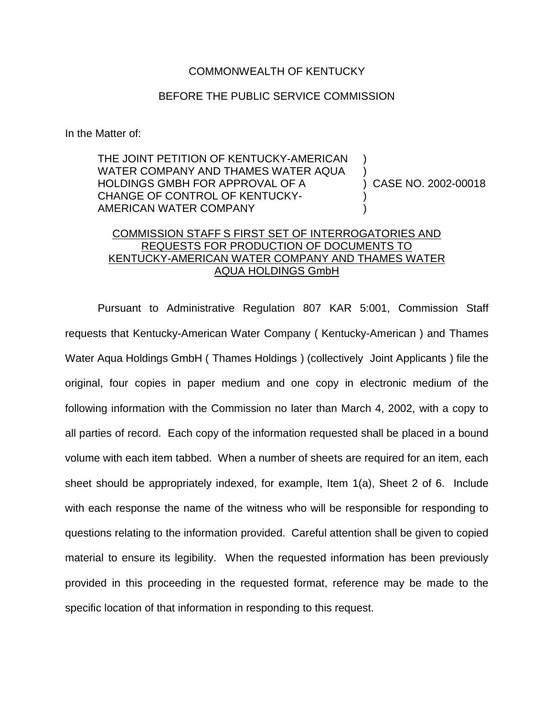## COMMONWEALTH OF KENTUCKY

## BEFORE THE PUBLIC SERVICE COMMISSION

In the Matter of:

THE JOINT PETITION OF KENTUCKY-AMERICAN WATER COMPANY AND THAMES WATER AQUA HOLDINGS GMBH FOR APPROVAL OF A CHANGE OF CONTROL OF KENTUCKY-AMERICAN WATER COMPANY ) ) ) CASE NO. 2002-00018 ) )

## COMMISSION STAFF S FIRST SET OF INTERROGATORIES AND REQUESTS FOR PRODUCTION OF DOCUMENTS TO KENTUCKY-AMERICAN WATER COMPANY AND THAMES WATER AQUA HOLDINGS GmbH

Pursuant to Administrative Regulation 807 KAR 5:001, Commission Staff requests that Kentucky-American Water Company ( Kentucky-American ) and Thames Water Aqua Holdings GmbH ( Thames Holdings ) (collectively Joint Applicants ) file the original, four copies in paper medium and one copy in electronic medium of the following information with the Commission no later than March 4, 2002, with a copy to all parties of record. Each copy of the information requested shall be placed in a bound volume with each item tabbed. When a number of sheets are required for an item, each sheet should be appropriately indexed, for example, Item 1(a), Sheet 2 of 6. Include with each response the name of the witness who will be responsible for responding to questions relating to the information provided. Careful attention shall be given to copied material to ensure its legibility. When the requested information has been previously provided in this proceeding in the requested format, reference may be made to the specific location of that information in responding to this request.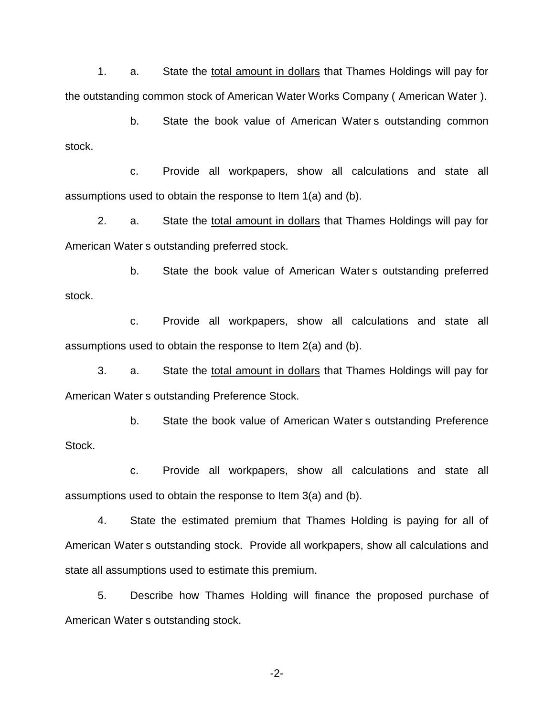1. a. State the total amount in dollars that Thames Holdings will pay for the outstanding common stock of American Water Works Company ( American Water ).

b. State the book value of American Water s outstanding common stock.

c. Provide all workpapers, show all calculations and state all assumptions used to obtain the response to Item 1(a) and (b).

2. a. State the total amount in dollars that Thames Holdings will pay for American Water s outstanding preferred stock.

b. State the book value of American Water s outstanding preferred stock.

c. Provide all workpapers, show all calculations and state all assumptions used to obtain the response to Item 2(a) and (b).

3. a. State the total amount in dollars that Thames Holdings will pay for American Water s outstanding Preference Stock.

b. State the book value of American Water s outstanding Preference Stock.

c. Provide all workpapers, show all calculations and state all assumptions used to obtain the response to Item 3(a) and (b).

4. State the estimated premium that Thames Holding is paying for all of American Water s outstanding stock. Provide all workpapers, show all calculations and state all assumptions used to estimate this premium.

5. Describe how Thames Holding will finance the proposed purchase of American Water s outstanding stock.

-2-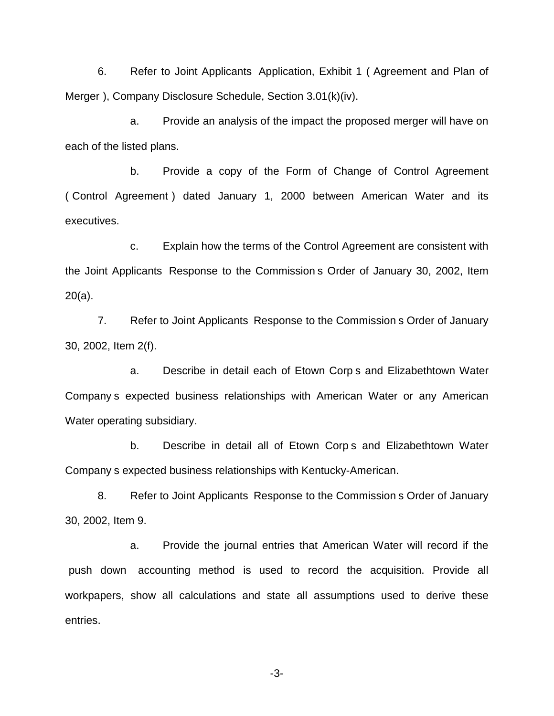6. Refer to Joint Applicants Application, Exhibit 1 ( Agreement and Plan of Merger ), Company Disclosure Schedule, Section 3.01(k)(iv).

a. Provide an analysis of the impact the proposed merger will have on each of the listed plans.

b. Provide a copy of the Form of Change of Control Agreement ( Control Agreement ) dated January 1, 2000 between American Water and its executives.

c. Explain how the terms of the Control Agreement are consistent with the Joint Applicants Response to the Commission s Order of January 30, 2002, Item 20(a).

7. Refer to Joint Applicants Response to the Commission s Order of January 30, 2002, Item 2(f).

a. Describe in detail each of Etown Corp s and Elizabethtown Water Company s expected business relationships with American Water or any American Water operating subsidiary.

b. Describe in detail all of Etown Corp s and Elizabethtown Water Company s expected business relationships with Kentucky-American.

8. Refer to Joint Applicants Response to the Commission s Order of January 30, 2002, Item 9.

a. Provide the journal entries that American Water will record if the push down accounting method is used to record the acquisition. Provide all workpapers, show all calculations and state all assumptions used to derive these entries.

-3-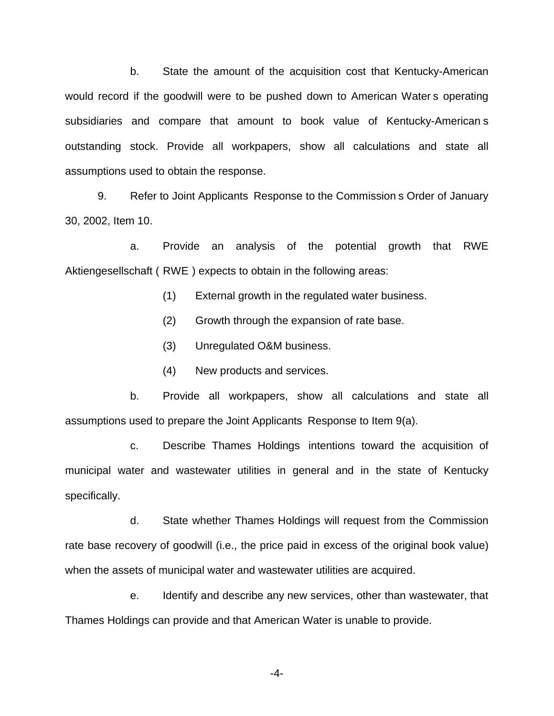b. State the amount of the acquisition cost that Kentucky-American would record if the goodwill were to be pushed down to American Water s operating subsidiaries and compare that amount to book value of Kentucky-American s outstanding stock. Provide all workpapers, show all calculations and state all assumptions used to obtain the response.

9. Refer to Joint Applicants Response to the Commission s Order of January 30, 2002, Item 10.

a. Provide an analysis of the potential growth that RWE Aktiengesellschaft ( RWE ) expects to obtain in the following areas:

- (1) External growth in the regulated water business.
- (2) Growth through the expansion of rate base.
- (3) Unregulated O&M business.
- (4) New products and services.

b. Provide all workpapers, show all calculations and state all assumptions used to prepare the Joint Applicants Response to Item 9(a).

c. Describe Thames Holdings intentions toward the acquisition of municipal water and wastewater utilities in general and in the state of Kentucky specifically.

d. State whether Thames Holdings will request from the Commission rate base recovery of goodwill (i.e., the price paid in excess of the original book value) when the assets of municipal water and wastewater utilities are acquired.

e. Identify and describe any new services, other than wastewater, that Thames Holdings can provide and that American Water is unable to provide.

-4-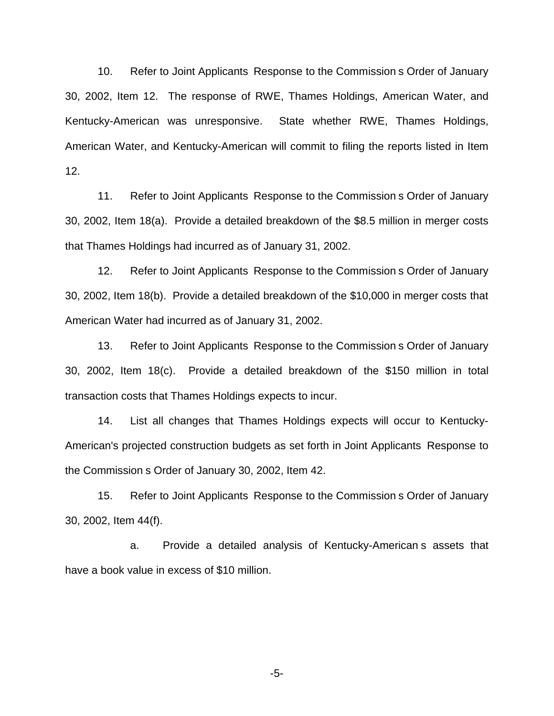10. Refer to Joint Applicants Response to the Commission s Order of January 30, 2002, Item 12. The response of RWE, Thames Holdings, American Water, and Kentucky-American was unresponsive. State whether RWE, Thames Holdings, American Water, and Kentucky-American will commit to filing the reports listed in Item 12.

11. Refer to Joint Applicants Response to the Commission s Order of January 30, 2002, Item 18(a). Provide a detailed breakdown of the \$8.5 million in merger costs that Thames Holdings had incurred as of January 31, 2002.

12. Refer to Joint Applicants Response to the Commission s Order of January 30, 2002, Item 18(b). Provide a detailed breakdown of the \$10,000 in merger costs that American Water had incurred as of January 31, 2002.

13. Refer to Joint Applicants Response to the Commission s Order of January 30, 2002, Item 18(c). Provide a detailed breakdown of the \$150 million in total transaction costs that Thames Holdings expects to incur.

14. List all changes that Thames Holdings expects will occur to Kentucky-American's projected construction budgets as set forth in Joint Applicants Response to the Commission s Order of January 30, 2002, Item 42.

15. Refer to Joint Applicants Response to the Commission s Order of January 30, 2002, Item 44(f).

a. Provide a detailed analysis of Kentucky-American s assets that have a book value in excess of \$10 million.

-5-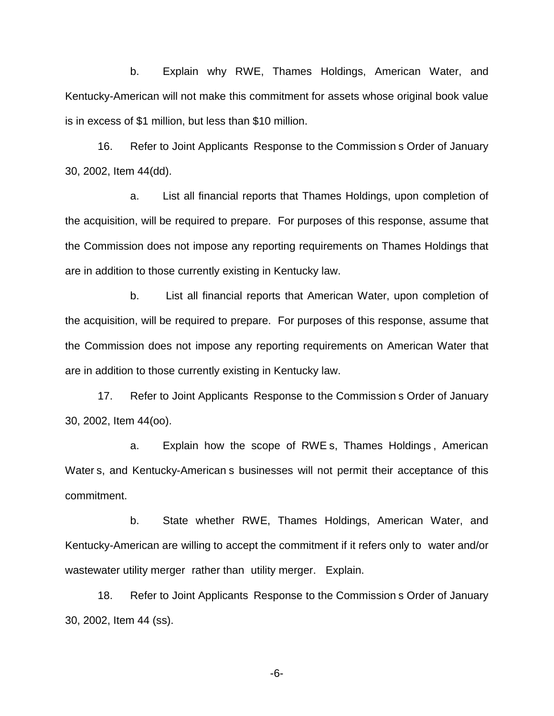b. Explain why RWE, Thames Holdings, American Water, and Kentucky-American will not make this commitment for assets whose original book value is in excess of \$1 million, but less than \$10 million.

16. Refer to Joint Applicants Response to the Commission s Order of January 30, 2002, Item 44(dd).

a. List all financial reports that Thames Holdings, upon completion of the acquisition, will be required to prepare. For purposes of this response, assume that the Commission does not impose any reporting requirements on Thames Holdings that are in addition to those currently existing in Kentucky law.

b. List all financial reports that American Water, upon completion of the acquisition, will be required to prepare. For purposes of this response, assume that the Commission does not impose any reporting requirements on American Water that are in addition to those currently existing in Kentucky law.

17. Refer to Joint Applicants Response to the Commission s Order of January 30, 2002, Item 44(oo).

a. Explain how the scope of RWE s, Thames Holdings , American Water s, and Kentucky-American s businesses will not permit their acceptance of this commitment.

b. State whether RWE, Thames Holdings, American Water, and Kentucky-American are willing to accept the commitment if it refers only to water and/or wastewater utility merger rather than utility merger. Explain.

18. Refer to Joint Applicants Response to the Commission s Order of January 30, 2002, Item 44 (ss).

-6-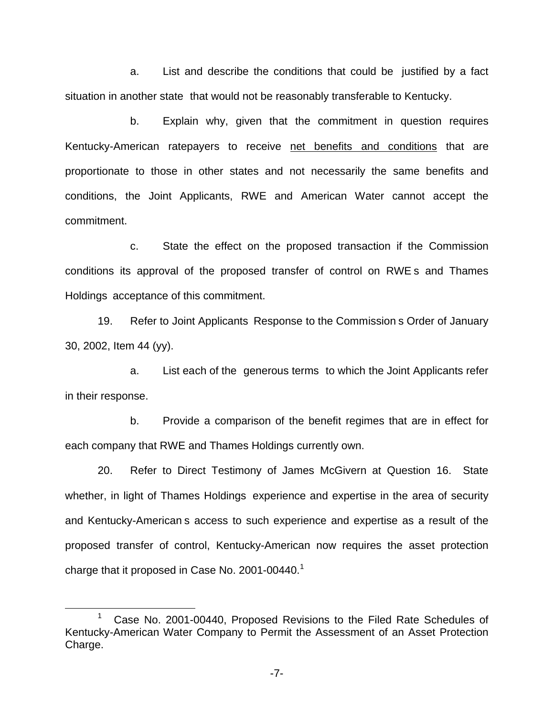a. List and describe the conditions that could be justified by a fact situation in another state that would not be reasonably transferable to Kentucky.

b. Explain why, given that the commitment in question requires Kentucky-American ratepayers to receive net benefits and conditions that are proportionate to those in other states and not necessarily the same benefits and conditions, the Joint Applicants, RWE and American Water cannot accept the commitment.

c. State the effect on the proposed transaction if the Commission conditions its approval of the proposed transfer of control on RWE s and Thames Holdings acceptance of this commitment.

19. Refer to Joint Applicants Response to the Commission s Order of January 30, 2002, Item 44 (yy).

a. List each of the generous terms to which the Joint Applicants refer in their response.

b. Provide a comparison of the benefit regimes that are in effect for each company that RWE and Thames Holdings currently own.

20. Refer to Direct Testimony of James McGivern at Question 16. State whether, in light of Thames Holdings experience and expertise in the area of security and Kentucky-American s access to such experience and expertise as a result of the proposed transfer of control, Kentucky-American now requires the asset protection charge that it proposed in Case No. 2001-00440.<sup>1</sup>

<sup>&</sup>lt;sup>1</sup> Case No. 2001-00440, Proposed Revisions to the Filed Rate Schedules of Kentucky-American Water Company to Permit the Assessment of an Asset Protection Charge.